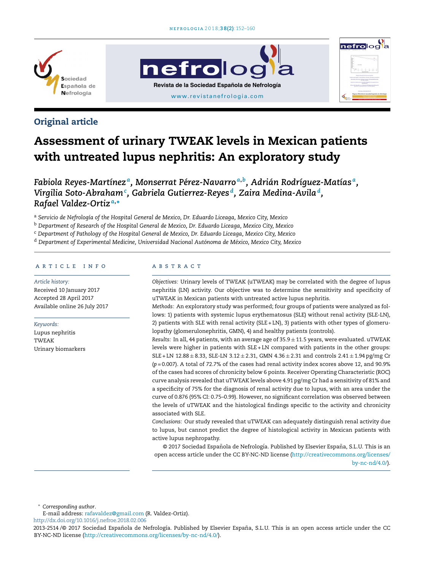

# nefrolod **Revista de la Sociedad Española de Nefrología** www.revistanefrologia.com



# Original article

# Assessment of urinary TWEAK levels in Mexican patients with untreated lupus nephritis: An exploratory study

*Fabiola Reyes-Martínez <sup>a</sup> , Monserrat Pérez-Navarro <sup>a</sup>*,*<sup>b</sup> , Adrián Rodríguez-Matías <sup>a</sup> , Virgilia Soto-Abraham<sup>c</sup> , Gabriela Gutierrez-Reyes <sup>d</sup> , Zaira Medina-Avila<sup>d</sup> , Rafael Valdez-Ortiz <sup>a</sup>*,<sup>∗</sup>

<sup>a</sup> *Servicio de Nefrología of the Hospital General de Mexico, Dr. Eduardo Liceaga, Mexico City, Mexico*

<sup>b</sup> *Department of Research of the Hospital General de Mexico, Dr. Eduardo Liceaga, Mexico City, Mexico*

<sup>c</sup> *Department of Pathology of the Hospital General de Mexico, Dr. Eduardo Liceaga, Mexico City, Mexico*

<sup>d</sup> *Department of Experimental Medicine, Universidad Nacional Autónoma de México, Mexico City, Mexico*

#### a r t i c l e i n f o

*Article history:* Received 10 January 2017 Accepted 28 April 2017 Available online 26 July 2017

*Keywords:*

Lupus nephritis TWEAK Urinary biomarkers

## A B S T R A C T

*Objectives:* Urinary levels of TWEAK (uTWEAK) may be correlated with the degree of lupus nephritis (LN) activity. Our objective was to determine the sensitivity and specificity of uTWEAK in Mexican patients with untreated active lupus nephritis.

*Methods:* An exploratory study was performed; four groups of patients were analyzed as follows: 1) patients with systemic lupus erythematosus (SLE) without renal activity (SLE-LN), 2) patients with SLE with renal activity (SLE + LN), 3) patients with other types of glomerulopathy (glomerulonephritis, GMN), 4) and healthy patients (controls).

*Results:* In all, 44 patients, with an average age of 35.9 ± 11.5 years, were evaluated. uTWEAK levels were higher in patients with SLE + LN compared with patients in the other groups: SLE + LN 12.88  $\pm$  8.33, SLE-LN 3.12  $\pm$  2.31, GMN 4.36  $\pm$  2.31 and controls 2.41  $\pm$  1.94 pg/mg Cr (*p* = 0.007). A total of 72.7% of the cases had renal activity index scores above 12, and 90.9% of the cases had scores of chronicity below 6 points. Receiver Operating Characteristic (ROC) curve analysis revealed that uTWEAK levels above 4.91 pg/mg Cr had a sensitivity of 81% and a specificity of 75% for the diagnosis of renal activity due to lupus, with an area under the curve of 0.876 (95% CI: 0.75–0.99). However, no significant correlation was observed between the levels of uTWEAK and the histological findings specific to the activity and chronicity associated with SLE.

*Conclusions:* Our study revealed that uTWEAK can adequately distinguish renal activity due to lupus, but cannot predict the degree of histological activity in Mexican patients with active lupus nephropathy.

© 2017 Sociedad Española de Nefrología. Published by Elsevier España, S.L.U. This is an open access article under the CC BY-NC-ND license (http://creativecommons.org/licenses/ by-nc-nd/4.0/).

<sup>∗</sup> *Corresponding author*.

E-mail address: rafavaldez@gmail.com (R. Valdez-Ortiz).

http://dx.doi.org/10.1016/j.nefroe.2018.02.006

<sup>2013-2514/© 2017</sup> Sociedad Española de Nefrología. Published by Elsevier España, S.L.U. This is an open access article under the CC BY-NC-ND license (http://creativecommons.org/licenses/by-nc-nd/4.0/).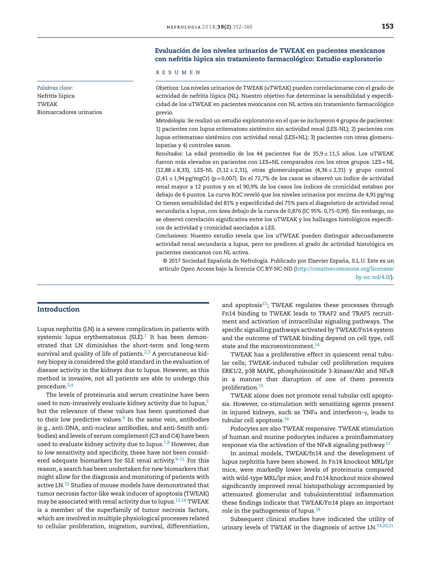# Evaluación de los niveles urinarios de TWEAK en pacientes mexicanos con nefritis lúpica sin tratamiento farmacológico: Estudio exploratorio

#### r e s u m e n

*Objetivos:* Los niveles urinarios de TWEAK (uTWEAK) pueden correlacionarse con el grado de actividad de nefritis lúpica (NL). Nuestro objetivo fue determinar la sensibilidad y especificidad de los uTWEAK en pacientes mexicanos con NL activa sin tratamiento farmacológico previo.

*Metodología:* Se realizó un estudio exploratorio en el que se incluyeron 4 grupos de pacientes: 1) pacientes con lupus eritematoso sistémico sin actividad renal (LES-NL); 2) pacientes con lupus eritematoso sistémico con actividad renal (LES+NL); 3) pacientes con otras glomerulopatías y 4) controles sanos.

*Resultados: La edad promedio de los 44 pacientes fue de 35,9 ± 11,5 años. Los uTWEAK* fueron más elevados en pacientes con LES+NL comparados con los otros grupos: LES + NL (12,88 ± 8,33), LES-NL (3,12 ± 2,31), otras glomerulopatías (4,36 ± 2,31) y grupo control (2,41 ± 1,94 pg/mgCr) (p *=* 0,007). En el 72,7% de los casos se observó un índice de actividad renal mayor a 12 puntos y en el 90,9% de los casos los índices de cronicidad estaban por debajo de 6 puntos. La curva ROC reveló que los niveles urinarios por encima de 4,91 pg/mg Cr tienen sensibilidad del 81% y especificidad del 75% para el diagnóstico de actividad renal secundaria a lupus, con área debajo de la curva de 0,876 (IC 95%: 0,75-0,99). Sin embargo, no se observó correlación significativa entre los uTWEAK y los hallazgos histológicos específicos de actividad y cronicidad asociados a LES.

*Conclusiones:* Nuestro estudio revela que los uTWEAK pueden distinguir adecuadamente actividad renal secundaria a lupus, pero no predicen el grado de actividad histológica en pacientes mexicanos con NL activa.

© 2017 Sociedad Española de Nefrología. Publicado por Elsevier España, S.L.U. Este es un artículo Open Access bajo la licencia CC BY-NC-ND (http://creativecommons.org/licenses/ by-nc-nd/4.0/).

#### Introduction

*Palabras clave:* Nefritis lúpica TWEAK

Biomarcadores urinarios

Lupus nephritis (LN) is a severe complication in patients with systemic lupus erythematosus (SLE). $^{\rm 1}$  It has been demonstrated that LN diminishes the short-term and long-term survival and quality of life of patients. $2,3$  A percutaneous kidney biopsy is considered the gold standard in the evaluation of disease activity in the kidneys due to lupus. However, as this method is invasive, not all patients are able to undergo this procedure.3,4

The levels of proteinuria and serum creatinine have been used to non-invasively evaluate kidney activity due to lupus, $5$ but the relevance of these values has been questioned due to their low predictive values. $^6$  In the same vein, antibodies (e.g., anti-DNA, anti-nuclear antibodies, and anti-Smith antibodies) and levels of serum complement(C3 and C4) have been used to evaluate kidney activity due to lupus.<sup>7,8</sup> However, due to low sensitivity and specificity, these have not been considered adequate biomarkers for SLE renal activity. $9-11$  For this reason, a search has been undertaken for new biomarkers that might allow for the diagnosis and monitoring of patients with active LN.<sup>12</sup> Studies of mouse models have demonstrated that tumor necrosis factor-like weak inducer of apoptosis (TWEAK) may be associated with renal activity due to lupus.13,14 TWEAK is a member of the superfamily of tumor necrosis factors, which are involved in multiple physiological processes related to cellular proliferation, migration, survival, differentiation,

and apoptosis<sup>13</sup>; TWEAK regulates these processes through Fn14 binding to TWEAK leads to TRAF2 and TRAF5 recruitment and activation of intracellular signaling pathways. The specific signalling pathways activated by TWEAK/Fn14 system and the outcome of TWEAK binding depend on cell type, cell state and the microenvironment.<sup>14</sup>

TWEAK has a proliferative effect in quiescent renal tubular cells; TWEAK-induced tubular cell proliferation requires ERK1/2, p38 MAPK, phosphoinositide 3-kinase/Akt and NF-B in a manner that disruption of one of them prevents proliferation.<sup>15</sup>

TWEAK alone does not promote renal tubular cell apoptosis. However, co-stimulation with sensitizing agents present in injured kidneys, such as TNF $\alpha$  and interferon- $\gamma$ , leads to tubular cell apoptosis.<sup>16</sup>

Podocytes are also TWEAK responsive. TWEAK stimulation of human and murine podocytes induces a proinflammatory response via the activation of the NF $\kappa$ B signaling pathway. $^{17}$ 

In animal models, TWEAK/fn14 and the development of lupus nephritis have been showed. In Fn14 knockout MRL/lpr mice, were markedly lower levels of proteinuria compared with wild-type MRL/lpr mice, and Fn14 knockout mice showed significantly improved renal histopathology accompanied by attenuated glomerular and tubulointerstitial inflammation these findings indicate that TWEAK/Fn14 plays an important role in the pathogenesis of lupus.<sup>18</sup>

Subsequent clinical studies have indicated the utility of urinary levels of TWEAK in the diagnosis of active LN.<sup>19,20,21</sup>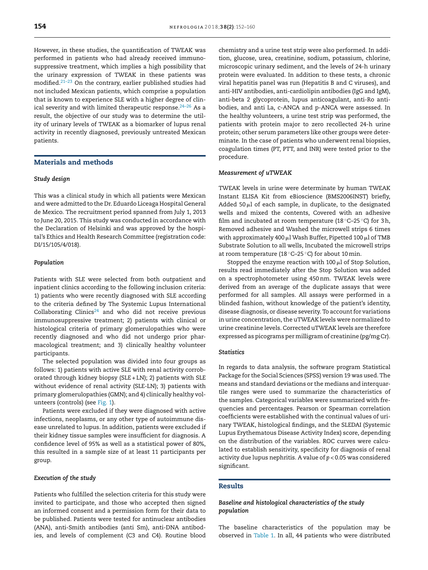However, in these studies, the quantification of TWEAK was performed in patients who had already received immunosuppressive treatment, which implies a high possibility that the urinary expression of TWEAK in these patients was modified.21–23 On the contrary, earlier published studies had not included Mexican patients, which comprise a population that is known to experience SLE with a higher degree of clinical severity and with limited therapeutic response. $24-26$  As a result, the objective of our study was to determine the utility of urinary levels of TWEAK as a biomarker of lupus renal activity in recently diagnosed, previously untreated Mexican patients.

# Materials and methods

#### *Study design*

This was a clinical study in which all patients were Mexican and were admitted to the Dr. Eduardo Liceaga Hospital General de Mexico. The recruitment period spanned from July 1, 2013 to June 20, 2015. This study was conducted in accordance with the Declaration of Helsinki and was approved by the hospital's Ethics and Health Research Committee (registration code: DI/15/105/4/018).

#### *Population*

Patients with SLE were selected from both outpatient and inpatient clinics according to the following inclusion criteria: 1) patients who were recently diagnosed with SLE according to the criteria defined by The Systemic Lupus International Collaborating Clinics $24$  and who did not receive previous immunosuppressive treatment; 2) patients with clinical or histological criteria of primary glomerulopathies who were recently diagnosed and who did not undergo prior pharmacological treatment; and 3) clinically healthy volunteer participants.

The selected population was divided into four groups as follows: 1) patients with active SLE with renal activity corroborated through kidney biopsy (SLE + LN); 2) patients with SLE without evidence of renal activity (SLE-LN); 3) patients with primary glomerulopathies (GMN); and 4) clinically healthy volunteers (controls) (see Fig. 1).

Patients were excluded if they were diagnosed with active infections, neoplasms, or any other type of autoimmune disease unrelated to lupus. In addition, patients were excluded if their kidney tissue samples were insufficient for diagnosis. A confidence level of 95% as well as a statistical power of 80%, this resulted in a sample size of at least 11 participants per group.

#### *Execution of the study*

Patients who fulfilled the selection criteria for this study were invited to participate, and those who accepted then signed an informed consent and a permission form for their data to be published. Patients were tested for antinuclear antibodies (ANA), anti-Smith antibodies (anti Sm), anti-DNA antibodies, and levels of complement (C3 and C4). Routine blood chemistry and a urine test strip were also performed. In addition, glucose, urea, creatinine, sodium, potassium, chlorine, microscopic urinary sediment, and the levels of 24-h urinary protein were evaluated. In addition to these tests, a chronic viral hepatitis panel was run (Hepatitis B and C viruses), and anti-HIV antibodies, anti-cardiolipin antibodies (IgG and IgM), anti-beta 2 glycoprotein, lupus anticoagulant, anti-Ro antibodies, and anti La, c-ANCA and p-ANCA were assessed. In the healthy volunteers, a urine test strip was performed, the patients with protein major to zero recollected 24-h urine protein; other serum parameters like other groups were determinate. In the case of patients who underwent renal biopsies, coagulation times (PT, PTT, and INR) were tested prior to the procedure.

## *Measurement of uTWEAK*

TWEAK levels in urine were determinate by human TWEAK Instant ELISA Kit from eBioscience (BMS2006INST) briefly, Added 50 $\mu$ l of each sample, in duplicate, to the designated wells and mixed the contents, Covered with an adhesive film and incubated at room temperature (18 ◦C–25 ◦C) for 3h, Removed adhesive and Washed the microwell strips 6 times with approximately 400  $\mu$ l Wash Buffer, Pipetted 100  $\mu$ l of TMB Substrate Solution to all wells, Incubated the microwell strips at room temperature (18 ◦C–25 ◦C) for about 10min.

Stopped the enzyme reaction with 100  $\mu$ l of Stop Solution, results read immediately after the Stop Solution was added on a spectrophotometer using 450nm. TWEAK levels were derived from an average of the duplicate assays that were performed for all samples. All assays were performed in a blinded fashion, without knowledge of the patient's identity, disease diagnosis, or disease severity. To account for variations in urine concentration, the uTWEAK levels were normalized to urine creatinine levels. Corrected uTWEAK levels are therefore expressed as picograms per milligram of creatinine (pg/mg Cr).

# *Statistics*

In regards to data analysis, the software program Statistical Package for the Social Sciences (SPSS) version 19 was used. The means and standard deviations or the medians and interquartile ranges were used to summarize the characteristics of the samples. Categorical variables were summarized with frequencies and percentages. Pearson or Spearman correlation coefficients were established with the continual values of urinary TWEAK, histological findings, and the SLEDAI (Systemic Lupus Erythematous Disease Activity Index) score, depending on the distribution of the variables. ROC curves were calculated to establish sensitivity, specificity for diagnosis of renal activity due lupus nephritis. A value of *p* < 0.05 was considered significant.

## Results

# *Baseline and histological characteristics of the study population*

The baseline characteristics of the population may be observed in Table 1. In all, 44 patients who were distributed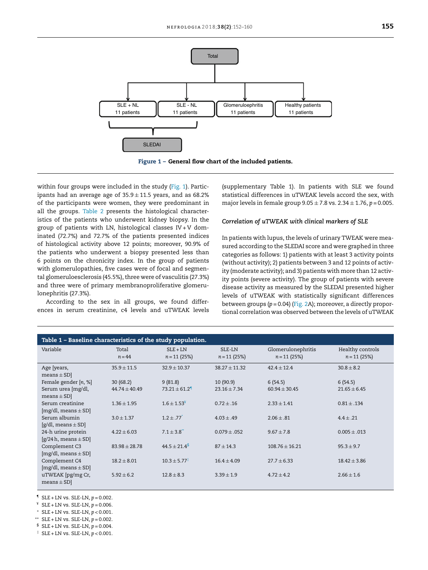



within four groups were included in the study (Fig. 1). Participants had an average age of  $35.9 \pm 11.5$  years, and as 68.2% of the participants were women, they were predominant in all the groups. Table 2 presents the histological characteristics of the patients who underwent kidney biopsy. In the group of patients with LN, histological classes IV + V dominated (72.7%) and 72.7% of the patients presented indices of histological activity above 12 points; moreover, 90.9% of the patients who underwent a biopsy presented less than 6 points on the chronicity index. In the group of patients with glomerulopathies, five cases were of focal and segmental glomeruloesclerosis (45.5%), three were of vasculitis (27.3%) and three were of primary membranoproliferative glomerulonephritis (27.3%).

According to the sex in all groups, we found differences in serum creatinine, c4 levels and uTWEAK levels

(supplementary Table 1). In patients with SLE we found statistical differences in uTWEAK levels accord the sex, with major levels in female group 9.05 ± 7.8 vs. 2.34 ± 1.76, *p =* 0.005.

#### *Correlation of uTWEAK with clinical markers of SLE*

In patients with lupus, the levels of urinary TWEAK were measured according to the SLEDAI score and were graphed in three categories as follows: 1) patients with at least 3 activity points (without activity); 2) patients between 3 and 12 points of activity (moderate activity); and 3) patients with more than 12 activity points (severe activity). The group of patients with severe disease activity as measured by the SLEDAI presented higher levels of uTWEAK with statistically significant differences between groups (*p* = 0.04) (Fig. 2A); moreover, a directly proportional correlation was observed between the levels of uTWEAK

| Table 1 - Baseline characteristics of the study population. |                   |                               |                          |                                      |                                    |  |
|-------------------------------------------------------------|-------------------|-------------------------------|--------------------------|--------------------------------------|------------------------------------|--|
| Variable                                                    | Total<br>$n = 44$ | $SLE + LN$<br>$n = 11 (25%)$  | SLE-LN<br>$n = 11 (25%)$ | Glomerulonephritis<br>$n = 11 (25%)$ | Healthy controls<br>$n = 11 (25%)$ |  |
| Age [years,<br>means $\pm$ SD]                              | $35.9 \pm 11.5$   | $32.9 \pm 10.37$              | $38.27 \pm 11.32$        | $42.4 + 12.4$                        | $30.8 \pm 8.2$                     |  |
| Female gender [n, %]                                        | 30(68.2)          | 9(81.8)                       | 10(90.9)                 | 6(54.5)                              | 6(54.5)                            |  |
| Serum urea [mg/dl,<br>means $\pm$ SD]                       | $44.74 \pm 40.49$ | $73.21 \pm 61.2$ <sup>1</sup> | $23.16 \pm 7.34$         | $60.94 \pm 30.45$                    | $21.65 \pm 6.45$                   |  |
| Serum creatinine<br>$[mg/dl,$ means $\pm$ SD]               | $1.36 \pm 1.95$   | $1.6 \pm 1.53^*$              | $0.72 \pm .16$           | $2.33 \pm 1.41$                      | $0.81 \pm .134$                    |  |
| Serum albumin<br>$[g/dl,$ means $\pm$ SD]                   | $3.0 \pm 1.37$    | $1.2 + .77$                   | $4.03 \pm .49$           | $2.06 \pm .81$                       | $4.4 + .21$                        |  |
| 24-h urine protein<br>$[g/24 h,$ means $\pm$ SD]            | $4.22 \pm 6.03$   | $7.1 \pm 3.8$                 | $0.079 \pm .052$         | $9.67 \pm 7.8$                       | $0.005 \pm .013$                   |  |
| Complement C3<br>$[mg/dl,$ means $\pm$ SD]                  | $83.98 \pm 28.78$ | $44.5 \pm 21.4^{\$}$          | $87 \pm 14.3$            | $108.76 \pm 16.21$                   | $95.3 \pm 9.7$                     |  |
| Complement C4<br>$[mg/dl,$ means $\pm$ SD]                  | $18.2 \pm 8.01$   | $10.3 \pm 5.77^{\ddagger}$    | $16.4 \pm 4.09$          | $27.7 \pm 6.33$                      | $18.42 \pm 3.86$                   |  |
| uTWEAK [pg/mg Cr,<br>means $\pm$ SD]                        | $5.92 \pm 6.2$    | $12.8 \pm 8.3$                | $3.39 \pm 1.9$           | $4.72 \pm 4.2$                       | $2.66 \pm 1.6$                     |  |

 $\P$  SLE + LN vs. SLE-LN,  $p = 0.002$ .

 $*$  SLE + LN vs. SLE-LN,  $p = 0.006$ .

<sup>∗</sup> SLE + LN vs. SLE-LN, *p* < 0.001.

∗∗ SLE + LN vs. SLE-LN, *p* = 0.002.

 $$$  SLE + LN vs. SLE-LN,  $p = 0.004$ .

‡ SLE + LN vs. SLE-LN, *p* < 0.001.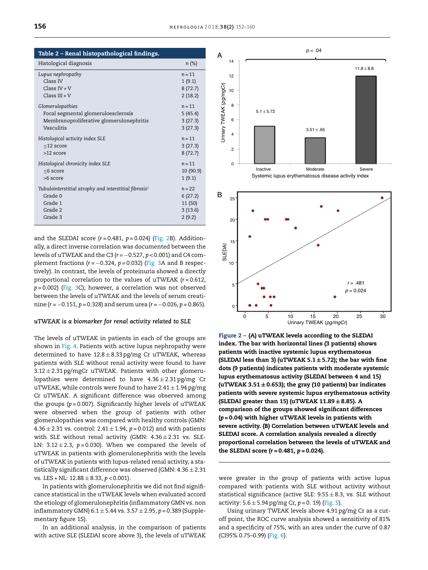| Table 2 – Renal histopathological findings.                        |           |
|--------------------------------------------------------------------|-----------|
| Histological diagnosis                                             | n (%)     |
| Lupus nephropathy                                                  | $n = 11$  |
| Class IV                                                           | 1(9.1)    |
| $Class IV + V$                                                     | 8(72.7)   |
| $Class III + V$                                                    | 2(18.2)   |
| Glomerulopathies                                                   | $n = 11$  |
| Focal segmental glomeruloesclerosis                                | 5(45.4)   |
| Membranoproliferative glomerulonephritis                           | 3(27.3)   |
| Vasculitis                                                         | 3(27.3)   |
| Histological activity index SLE                                    | $n = 11$  |
| $<$ 12 score                                                       | 3(27.3)   |
| $>12$ score                                                        | 8(72.7)   |
| Histological chronicity index SLE                                  | $n = 11$  |
| $<$ 6 score                                                        | 10 (90.9) |
| >6 score                                                           | 1(9.1)    |
| Tubulointerstitial atrophy and interstitial fibrosis $\mathfrak i$ | $n = 22$  |
| Grade 0                                                            | 6(27.2)   |
| Grade 1                                                            | 11 (50)   |
| Grade 2                                                            | 3(13.6)   |
| Grade 3                                                            | 2(9.2)    |
|                                                                    |           |

and the SLEDAI score ( $r = 0.481$ ,  $p = 0.024$ ) (Fig. 2B). Additionally, a direct inverse correlation was documented between the levels of uTWEAK and the C3 (*r* = −0.527, *p* < 0.001) and C4 complement fractions (*r* = −0.324, *p* = 0.032) (Fig. 3A and B respectively). In contrast, the levels of proteinuria showed a directly proportional correlation to the values of uTWEAK (*r* = 0.612, *p* = 0.002) (Fig. 3C); however, a correlation was not observed between the levels of uTWEAK and the levels of serum creatinine (*r* = −0.151, *p* = 0.328) and serum urea (*r* = −0.026, *p* = 0.865).

#### *uTWEAK is a biomarker for renal activity related to SLE*

The levels of uTWEAK in patients in each of the groups are shown in Fig. 4. Patients with active lupus nephropathy were determined to have  $12.8 \pm 8.33$  pg/mg Cr uTWEAK, whereas patients with SLE without renal activity were found to have  $3.12 \pm 2.31$  pg/mgCr uTWEAK. Patients with other glomerulopathies were determined to have  $4.36 \pm 2.31$  pg/mg Cr uTWEAK, while controls were found to have  $2.41 \pm 1.94$  pg/mg Cr uTWEAK. A significant difference was observed among the groups (*p* = 0.007). Significantly higher levels of uTWEAK were observed when the group of patients with other glomerulopathies was compared with healthy controls (GMN:  $4.36 \pm 2.31$  vs. control:  $2.41 \pm 1.94$ ,  $p = 0.012$ ) and with patients with SLE without renal activity (GMN:  $4.36 \pm 2.31$  vs. SLE-LN:  $3.12 \pm 2.3$ ,  $p = 0.030$ ). When we compared the levels of uTWEAK in patients with glomerulonephritis with the levels of uTWEAK in patients with lupus-related renal activity, a statistically significant difference was observed (GMN:  $4.36 \pm 2.31$ vs. LES + NL: 12.88 ± 8.33, *p* < 0.001).

In patients with glomerulonephritis we did not find significance statistical in the uTWEAK levels when evaluated accord the etiology of glomerulonephritis (inflammatory GMN vs. non inflammatory GMN) 6.1 ± 5.44 vs. 3.57 ± 2.95, *p* = 0.389 (Supplementary figure 1S).

In an additional analysis, in the comparison of patients with active SLE (SLEDAI score above 3), the levels of uTWEAK



Figure 2 – (A) uTWEAK levels according to the SLEDAI index. The bar with horizontal lines (3 patients) shows patients with inactive systemic lupus erythematosus (SLEDAI less than 3) (uTWEAK  $5.1 \pm 5.72$ ); the bar with fine dots (9 patients) indicates patients with moderate systemic lupus erythematosus activity (SLEDAI between 4 and 15) (uTWEAK 3.51 $\pm$  0.653); the gray (10 patients) bar indicates patients with severe systemic lupus erythematosus activity (SLEDAI greater than 15) (uTWEAK  $11.89 \pm 8.85$ ). A comparison of the groups showed significant differences (*p* = 0.04) with higher uTWEAK levels in patients with severe activity. (B) Correlation between uTWEAK levels and SLEDAI score. A correlation analysis revealed a directly proportional correlation between the levels of uTWEAK and the SLEDAI score (*r* = 0.481, *p* = 0.024).

were greater in the group of patients with active lupus compared with patients with SLE without activity without statistical significance (active SLE:  $9.55 \pm 8.3$ , vs. SLE without activity:  $5.6 \pm 5.94$  pg/mg Cr,  $p = 0.19$ ) (Fig. 5).

Using urinary TWEAK levels above 4.91 pg/mg Cr as a cutoff point, the ROC curve analysis showed a sensitivity of 81% and a specificity of 75%, with an area under the curve of 0.87 (CI95% 0.75–0.99) (Fig. 6).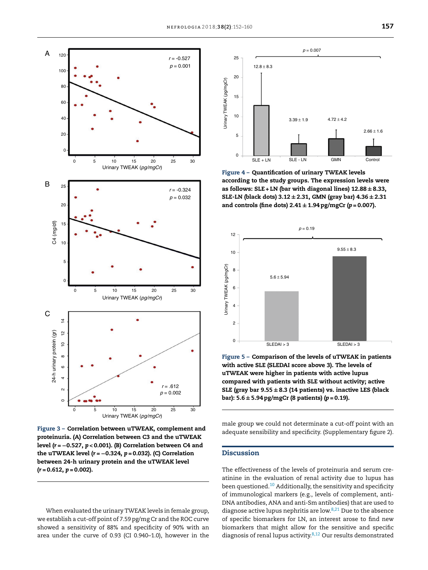

Figure 3 – Correlation between uTWEAK, complement and proteinuria. (A) Correlation between C3 and the uTWEAK level (*r* = −0.527, *p* < 0.001). (B) Correlation between C4 and the uTWEAK level (*r* = −0.324, *p* = 0.032). (C) Correlation between 24-h urinary protein and the uTWEAK level (*r* = 0.612, *p* = 0.002).

When evaluated the urinary TWEAK levels in female group, we establish a cut-off point of 7.59 pg/mg Cr and the ROC curve showed a sensitivity of 88% and specificity of 90% with an area under the curve of 0.93 (CI 0.940–1.0), however in the



Figure 4 – Quantification of urinary TWEAK levels according to the study groups. The expression levels were as follows:  $SLE + LN$  (bar with diagonal lines)  $12.88 \pm 8.33$ , SLE-LN (black dots)  $3.12 \pm 2.31$ , GMN (gray bar)  $4.36 \pm 2.31$ and controls (fine dots)  $2.41 \pm 1.94$  pg/mgCr ( $p = 0.007$ ).



Figure 5 – Comparison of the levels of uTWEAK in patients with active SLE (SLEDAI score above 3). The levels of uTWEAK were higher in patients with active lupus compared with patients with SLE without activity; active SLE (gray bar  $9.55 \pm 8.3$  (14 patients) vs. inactive LES (black bar): 5.6 ± 5.94 pg/mgCr (8 patients) (*p* = 0.19).

male group we could not determinate a cut-off point with an adequate sensibility and specificity. (Supplementary figure 2).

# Discussion

The effectiveness of the levels of proteinuria and serum creatinine in the evaluation of renal activity due to lupus has been questioned.<sup>10</sup> Additionally, the sensitivity and specificity of immunological markers (e.g., levels of complement, anti-DNA antibodies, ANA and anti-Sm antibodies) that are used to diagnose active lupus nephritis are low.8,21 Due to the absence of specific biomarkers for LN, an interest arose to find new biomarkers that might allow for the sensitive and specific diagnosis of renal lupus activity. $8,12$  Our results demonstrated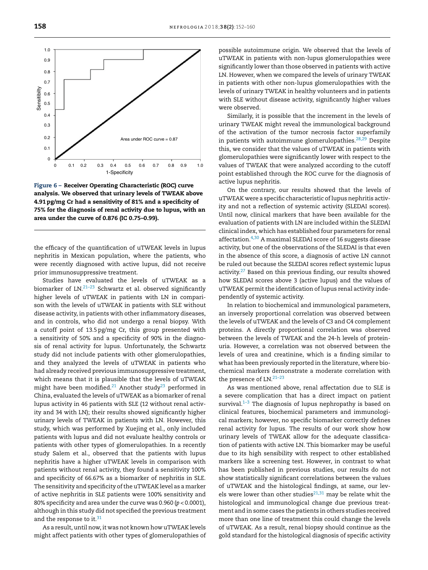

Figure 6 – Receiver Operating Characteristic (ROC) curve analysis. We observed that urinary levels of TWEAK above 4.91 pg/mg Cr had a sensitivity of 81% and a specificity of 75% for the diagnosis of renal activity due to lupus, with an area under the curve of 0.876 (IC 0.75–0.99).

the efficacy of the quantification of uTWEAK levels in lupus nephritis in Mexican population, where the patients, who were recently diagnosed with active lupus, did not receive prior immunosuppressive treatment.

Studies have evaluated the levels of uTWEAK as a biomarker of LN.<sup>21-23</sup> Schwartz et al. observed significantly higher levels of uTWEAK in patients with LN in comparison with the levels of uTWEAK in patients with SLE without disease activity, in patients with other inflammatory diseases, and in controls, who did not undergo a renal biopsy. With a cutoff point of 13.5 pg/mg Cr, this group presented with a sensitivity of 50% and a specificity of 90% in the diagnosis of renal activity for lupus. Unfortunately, the Schwartz study did not include patients with other glomerulopathies, and they analyzed the levels of uTWEAK in patients who had already received previous immunosuppressive treatment, which means that it is plausible that the levels of uTWEAK might have been modified.<sup>21</sup> Another study<sup>23</sup> performed in China, evaluated the levels of uTWEAK as a biomarker of renal lupus activity in 46 patients with SLE (12 without renal activity and 34 with LN); their results showed significantly higher urinary levels of TWEAK in patients with LN. However, this study, which was performed by Xuejing et al., only included patients with lupus and did not evaluate healthy controls or patients with other types of glomerulopathies. In a recently study Salem et al., observed that the patients with lupus nephritis have a higher uTWEAK levels in comparison with patients without renal activity, they found a sensitivity 100% and specificity of 66.67% as a biomarker of nephritis in SLE. The sensitivity and specificity of the uTWEAK level as a marker of active nephritis in SLE patients were 100% sensitivity and 80% specificity and area under the curve was 0.960 (*p* < 0.0001), although in this study did not specified the previous treatment and the response to it. $31$ 

As a result, until now, it was not known how uTWEAK levels might affect patients with other types of glomerulopathies of possible autoimmune origin. We observed that the levels of uTWEAK in patients with non-lupus glomerulopathies were significantly lower than those observed in patients with active LN. However, when we compared the levels of urinary TWEAK in patients with other non-lupus glomerulopathies with the levels of urinary TWEAK in healthy volunteers and in patients with SLE without disease activity, significantly higher values were observed.

Similarly, it is possible that the increment in the levels of urinary TWEAK might reveal the immunological background of the activation of the tumor necrosis factor superfamily in patients with autoimmune glomerulopathies. $28,29$  Despite this, we consider that the values of uTWEAK in patients with glomerulopathies were significantly lower with respect to the values of TWEAK that were analyzed according to the cutoff point established through the ROC curve for the diagnosis of active lupus nephritis.

On the contrary, our results showed that the levels of uTWEAK were a specific characteristic oflupus nephritis activity and not a reflection of systemic activity (SLEDAI scores). Until now, clinical markers that have been available for the evaluation of patients with LN are included within the SLEDAI clinical index, which has established four parameters for renal affectation. $4,30$  A maximal SLEDAI score of 16 suggests disease activity, but one of the observations of the SLEDAI is that even in the absence of this score, a diagnosis of active LN cannot be ruled out because the SLEDAI scores reflect systemic lupus activity.<sup>27</sup> Based on this previous finding, our results showed how SLEDAI scores above 3 (active lupus) and the values of uTWEAK permit the identification of lupus renal activity independently of systemic activity.

In relation to biochemical and immunological parameters, an inversely proportional correlation was observed between the levels of uTWEAK and the levels of C3 and C4 complement proteins. A directly proportional correlation was observed between the levels of TWEAK and the 24-h levels of proteinuria. However, a correlation was not observed between the levels of urea and creatinine, which is a finding similar to what has been previously reported in the literature, where biochemical markers demonstrate a moderate correlation with the presence of LN.<sup>21-23</sup>

As was mentioned above, renal affectation due to SLE is a severe complication that has a direct impact on patient survival. $1-3$  The diagnosis of lupus nephropathy is based on clinical features, biochemical parameters and immunological markers; however, no specific biomarker correctly defines renal activity for lupus. The results of our work show how urinary levels of TWEAK allow for the adequate classification of patients with active LN. This biomarker may be useful due to its high sensibility with respect to other established markers like a screening test. However, in contrast to what has been published in previous studies, our results do not show statistically significant correlations between the values of uTWEAK and the histological findings, at same, our levels were lower than other studies $21,31$  may be relate whit the histological and immunological change due previous treatment and in some cases the patients in others studies received more than one line of treatment this could change the levels of uTWEAK. As a result, renal biopsy should continue as the gold standard for the histological diagnosis of specific activity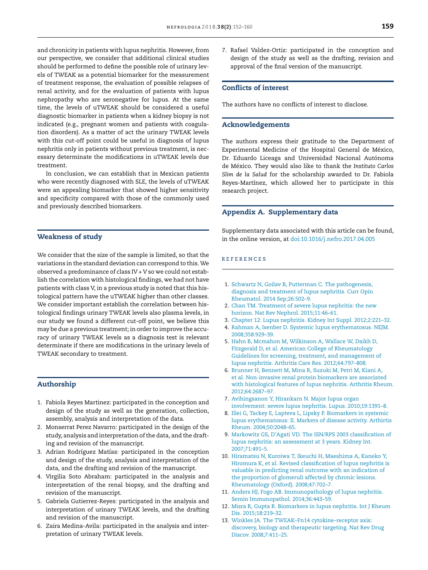and chronicity in patients with lupus nephritis. However, from our perspective, we consider that additional clinical studies should be performed to define the possible role of urinary levels of TWEAK as a potential biomarker for the measurement of treatment response, the evaluation of possible relapses of renal activity, and for the evaluation of patients with lupus nephropathy who are seronegative for lupus. At the same time, the levels of uTWEAK should be considered a useful diagnostic biomarker in patients when a kidney biopsy is not indicated (e.g., pregnant women and patients with coagulation disorders). As a matter of act the urinary TWEAK levels with this cut-off point could be useful in diagnosis of lupus nephritis only in patients without previous treatment, is necessary determinate the modifications in uTWEAK levels due treatment.

In conclusion, we can establish that in Mexican patients who were recently diagnosed with SLE, the levels of uTWEAK were an appealing biomarker that showed higher sensitivity and specificity compared with those of the commonly used and previously described biomarkers.

#### Weakness of study

We consider that the size of the sample is limited, so that the variations in the standard deviation can correspond to this.We observed a predominance of class IV + V so we could not establish the correlation with histological findings, we had not have patients with class V, in a previous study is noted that this histological pattern have the uTWEAK higher than other classes. We consider important establish the correlation between histological findings urinary TWEAK levels also plasma levels, in our study we found a different cut-off point, we believe this may be due a previous treatment; in order to improve the accuracy of urinary TWEAK levels as a diagnosis test is relevant determinate if there are modifications in the urinary levels of TWEAK secondary to treatment.

# Authorship

- 1. Fabiola Reyes Martinez: participated in the conception and design of the study as well as the generation, collection, assembly, analysis and interpretation of the data.
- 2. Monserrat Perez Navarro: participated in the design of the study, analysis and interpretation of the data, and the drafting and revision of the manuscript.
- 3. Adrian Rodríguez Matías: participated in the conception and design of the study, analysis and interpretation of the data, and the drafting and revision of the manuscript.
- 4. Virgilia Soto Abraham: participated in the analysis and interpretation of the renal biopsy, and the drafting and revision of the manuscript.
- 5. Gabriela Gutierrez-Reyes: participated in the analysis and interpretation of urinary TWEAK levels, and the drafting and revision of the manuscript.
- 6. Zaira Medina-Avila: participated in the analysis and interpretation of urinary TWEAK levels.

7. Rafael Valdez-Ortiz: participated in the conception and design of the study as well as the drafting, revision and approval of the final version of the manuscript.

# Conflicts of interest

The authors have no conflicts of interest to disclose.

## Acknowledgements

The authors express their gratitude to the Department of Experimental Medicine of the Hospital General de México, Dr. Eduardo Liceaga and Universidad Nacional Autónoma de México. They would also like to thank the *Instituto Carlos Slim de la Salud* for the scholarship awarded to Dr. Fabiola Reyes-Martínez, which allowed her to participate in this research project.

#### Appendix A. Supplementary data

Supplementary data associated with this article can be found, in the online version, at doi:10.1016/j.nefro.2017.04.005

## r e f e r enc e s

- 1. Schwartz N, Goilav B, Putterman C. The pathogenesis, diagnosis and treatment of lupus nephritis. Curr Opin Rheumatol. 2014 Sep;26:502–9.
- 2. Chan TM. Treatment of severe lupus nephritis: the new horizon. Nat Rev Nephrol. 2015;11:46–61.
- 3. Chapter 12: Lupus nephritis. Kidney Int Suppl. 2012;2:221–32.
- 4. Rahman A, Isenber D. Systemic lupus erythematosus. NEJM. 2008;358:929–39.
- 5. Hahn B, Mcmahon M, Wilkinson A, Wallace W, Daikh D, Fitzgerald D, et al. American College of Rheumatology Guidelines for screening, treatment, and management of lupus nephritis. Arthritis Care Res. 2012;64:797–808.
- 6. Brunner H, Bennett M, Mina R, Suzuki M, Petri M, Kiani A, et al. Non-invasive renal protein biomarkers are associated with histological features of lupus nephritis. Arthritis Rheum. 2012;64:2687–97.
- 7. Avihingsanon Y, Hirankarn N. Major lupus organ involvement: severe lupus nephritis. Lupus. 2010;19:1391–8.
- 8. Illei G, Tackey E, Lapteva L, Lipsky P. Biomarkers in systemic lupus erythematosus: II. Markers of disease activity. Arthirtis Rheum. 2004;50:2048–65.
- 9. Markowitz GS, D'Agati VD. The ISN/RPS 2003 classification of lupus nephritis: an assessment at 3 years. Kidney Int. 2007;71:491–5.
- 10. Hiramatsu N, Kuroiwa T, Ikeuchi H, Maeshima A, Kaneko Y, Hiromura K, et al. Revised classification of lupus nephritis is valuable in predicting renal outcome with an indication of the proportion of glomeruli affected by chronic lesions. Rheumatology (Oxford). 2008;47:702–7.
- 11. Anders HJ, Fogo AB. Immunopathology of lupus nephritis. Semin Immunopathol. 2014;36:443–59.
- 12. Misra R, Gupta R. Biomarkers in lupus nephritis. Int J Rheum Dis. 2015;18:219–32.
- 13. Winkles JA. The TWEAK–Fn14 cytokine–receptor axis: discovery, biology and therapeutic targeting. Nat Rev Drug Discov. 2008;7:411–25.